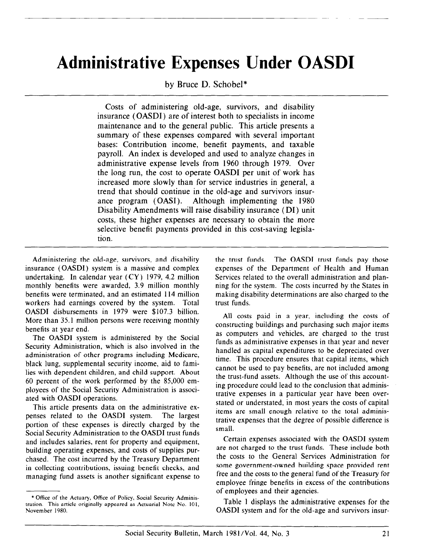# Administrative Expenses Under OASDI

by Bruce D. Schobel\*

Costs of administering old-age, survivors, and disability insurance (OASDI) are of interest both to specialists in income maintenance and to the general public. This article presents a summary of these expenses compared with several important bases: Contribution income, benefit payments, and taxable payroll. An index is developed and used to analyze changes in administrative expense levels from 1960 through 1979. Over the long run, the cost to operate OASDI per unit of work has increased more slowly than for service industries in general, a trend that should continue in the old-age and survivors insurance program (OASI). Although implementing the 1980 Disability Amendments will raise disability insurance (DI) unit costs, these higher expenses are necessary to obtain the more selective benefit payments provided in this cost-saving legislation.

Administering the old-age, survivors, and disability insurance (OASDI) system is a massive and complex undertaking. In calendar year (CY) 1979, 4.2 million monthly benefits were awarded, 3.9 million monthly benefits were terminated, and an estimated 114 million workers had earnings covered by the system. Total OASDI disbursements in 1979 were \$107.3 billion. More than 35.1 million persons were receiving monthly benefits at year end.

The OASDI system is administered by the Social Security Administration, which is also involved in the administration of other programs including Medicare, black lung, supplemental security income, aid to families with dependent children, and child support. About 60 percent of the work performed by the 85,000 employees of the Social Security Administration is associated with OASDI operations,

This article presents data on the administrative expenses related to the OASDI system. The largest portion of these expenses is directly charged by the Social Security Administration to the OASDI trust funds and includes salaries, rent for property and equipment, building operating expenses, and costs of supplies purchased. The cost incurred by the Treasury Department in collecting contributions, issuing benefit checks, and managing fund assets is another significant expense to the trust funds. The OASDI trust funds pay those expenses of the Department of Health and Human Services related to the overall administration and planning for the system. The costs incurred by the States in making disability determinations are also charged to the trust funds.

All costs paid in a year, including the costs of constructing buildings and purchasing such major items as computers and vehicles, are charged to the trust funds as administrative expenses in that year and never handled as capital expenditures to be depreciated over time. This procedure ensures that capital items, which cannot be used to pay benefits, are not included among the trust-fund assets. Although the use of this accounting procedure could lead to the conclusion that administrative expenses in a particular year have been overstated or understated, in most years the costs of capital items are small enough relative to the total administrative expenses that the degree of possible difference is small.

Certain expenses associated with the OASDI system are not charged to the trust funds. These include both the costs to the General Services Administration for some government-owned building space provided rent free and the costs to the general fund of the Treasury for employee fringe benefits in excess of the contributions of employees and their agencies.

Table 1 displays the administrative expenses for the OASDI system and for the old-age and survivors insur-

<sup>\*</sup> Office of the Actuary, Office of Policy, Social Security Administration. This article originally appeared as Actuarial Note No. 101, November 1980.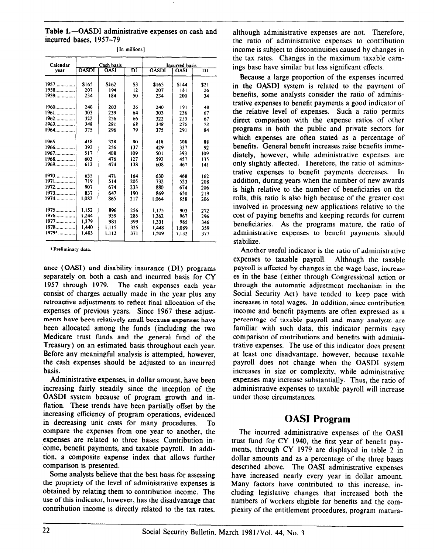Table 1.-OASDI administrative expenses on cash and incurred bases, 1957-79

| Calendar |              | Cash basis  |     |              | <b>Incurred basis</b> |      |
|----------|--------------|-------------|-----|--------------|-----------------------|------|
| year     | <b>OASDI</b> | <b>OASI</b> | ĎĪ  | <b>OASDI</b> | OASI                  | וס   |
| $1957$   | \$165        | \$162       | \$3 | \$165        | \$144                 | \$21 |
| $1958$   | 207          | 194         | 12  | 207          | 181                   | 26   |
| $1959$   | 234          | 184         | 50  | 234          | 200                   | 34   |
| 1960     | 240          | 203         | 36  | 240          | 191                   | 48   |
| 1961     | 303          | 239         | 64  | 303          | 236                   | 67   |
| 1962     | 322          | 256         | 66  | 322          | 255                   | 67   |
| 1963     | 348          | 281         | 68  | 348          | 275                   | 73   |
| 1964     | 375          | 296         | 79  | 375          | 291                   | 84   |
| $1965$   | 418          | 328         | 90  | 418          | 308                   | 88   |
|          | 393          | 256         | 137 | 429          | 337                   | 92   |
| 1967     | 517          | 408         | 109 | 501          | 393                   | 109  |
| 1968     | 603          | 476         | 127 | 592          | 457                   | 135  |
| $1969$   | 612          | 474         | 138 | 608          | 467                   | 141  |
| $1970$   | 635          | 471         | 164 | 630          | 468                   | 162  |
| 1971     | 719          | 514         | 205 | 732          | 523                   | 208  |
| 1972     | 907          | 674         | 233 | 880          | 674                   | 206  |
| $1973$   | 837          | 647         | 190 | 869          | 650                   | 219  |
| $1974$   | 1.082        | 865         | 217 | 1.064        | 858                   | 206  |
| 1975     | 1.152        | 896         | 256 | 1.175        | 903                   | 272  |
| $1976$   | 1,244        | 959         | 285 | 1,262        | 967                   | 296  |
| 1977     | 1.379        | 981         | 399 | 1.331        | 985                   | 346  |
| 1978     | 1.440        | 1,115       | 325 | 1,448        | 1.089                 | 359  |
| $19791$  | 1.483        | 1,113       | 371 | 1,509        | 1.132                 | 377  |

[In millions]

<sup>1</sup> Preliminary data.

ance (OASI) and disability insurance (DI) programs separately on both a cash and incurred basis for CY 1957 through 1979. The cash expenses each year consist of charges actually made in the year plus any retroactive adjustments to reflect final allocation of the expenses of previous years. Since 1967 these adjustments have been relatively small because expenses have been allocated among the funds (including the two Medicare trust funds and the general fund of the Treasury) on an estimated basis throughout each year. Before any meaningful analysis is attempted, however. the cash expenses should be adjusted to an incurred basis.

Administrative expenses, in dollar amount, have been increasing fairly steadily since the inception of the OASDI system because of program growth and inflation. These trends have been partially offset by the increasing efficiency of program operations, evidenced in decreasing unit costs for many procedures. To compare the expenses from one year to another, the expenses are related to three bases: Contribution income, benefit payments, and taxable payroll. In addition, a composite expense index that allows further comparison is presented.

Some analysts believe that the best basis for assessing the propriety of the level of administrative expenses is obtained by relating them to contribution income. The use of this indicator, however, has the disadvantage that contribution income is directly related to the tax rates,

although administrative expenses are not. Therefore, the ratio of administrative expenses to contribution income is subject to discontinuities caused by changes in the tax rates. Changes in the maximum taxable earnings base have similar but less significant effects.

Because a large proportion of the expenses incurred in the OASDI system is related to the payment of benefits, some analysts consider the ratio of administrative expenses to benefit payments a good indicator of the relative level of expenses. Such a ratio permits direct comparison with the expense ratios of other programs in both the public and private sectors for which expenses are often stated as a percentage of benefits. General benefit increases raise benefits immediately, however, while administrative expenses are only slightly affected. Therefore, the ratio of administrative expenses to benefit payments decreases. In addition, during years when the number of new awards is high relative to the number of beneficiaries on the rolls, this ratio is also high because of the greater cost involved in processing new applications relative to the cost of paying benefits and keeping records for current beneficiaries. As the programs mature, the ratio of administrative expenses to benefit payments should stabilize.

Another useful indicator is the ratio of administrative expenses to taxable payroll. Although the taxable payroll is affected by changes in the wage base, increases in the base (either through Congressional action or through the automatic adjustment mechanism in the Social Security Act) have tended to keep pace with increases in total wages. In addition, since contribution income and benefit payments are often expressed as a percentage of taxable payroll and many analysts are familiar with such data, this indicator permits easy comparison of contributions and benefits with administrative expenses. The use of this indicator does present at least one disadvantage, however, because taxable payroll does not change when the OASDI system increases in size or complexity, while administrative expenses may increase substantially. Thus, the ratio of administrative expenses to taxable payroll will increase under those circumstances.

## **OASI Program**

The incurred administrative expenses of the OASI trust fund for CY 1940, the first year of benefit payments, through CY 1979 are displayed in table 2 in dollar amounts and as a percentage of the three bases described above. The OASI administrative expenses have increased nearly every year in dollar amount. Many factors have contributed to this increase, including legislative changes that increased both the numbers of workers eligible for benefits and the complexity of the entitlement procedures, program matura-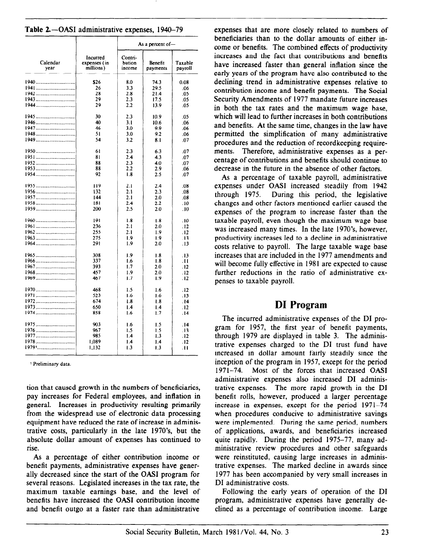|  | Table 2.-OASI administrative expenses, 1940-79 |  |  |
|--|------------------------------------------------|--|--|
|--|------------------------------------------------|--|--|

|                  |                                       |                             | As a percent of $-$ |                    |
|------------------|---------------------------------------|-----------------------------|---------------------|--------------------|
| Calendar<br>year | Incurred<br>expenses (in<br>millions) | Contri-<br>bution<br>income | Benefit<br>payments | Taxable<br>payroll |
|                  | \$26                                  | 8.0                         | 74.3                | 0.08               |
|                  | 26                                    | 3.3                         | 29.5                | .06                |
|                  | 28                                    | 2.8                         | 21.4                | .05                |
|                  | 29                                    | 2.3                         | 17.5                | .05                |
|                  | 29                                    | 2.2                         | 13.9                | .05                |
|                  | 30                                    | 2.3                         | 10.9                | .05                |
|                  | 40                                    | 3.1                         | 10.6                | .06                |
|                  | 46                                    | 3.0                         | 9.9                 | .06                |
|                  | 51                                    | 3.0                         | 9.2                 | .06                |
|                  | 54                                    | 3.2                         | 8.1                 | .07                |
|                  | 61                                    | 2.3                         | 6.3                 | .07                |
|                  | 81                                    | 2.4                         | 4.3                 | .07                |
|                  | 88                                    | 2.3                         | 4.0                 | .07                |
|                  | 88                                    | 2.2                         | 2.9                 | .06                |
| 1954             | 92                                    | 1.8                         | 2.5                 | .07                |
| <u>1955</u>      | 119                                   | 2.1                         | 2.4                 | .08                |
| 1956             | 132                                   | 2.1                         | 2.3                 | .08                |
|                  | 144                                   | 2.1                         | 2.0                 | .08                |
|                  | 181                                   | 2.4                         | 2.2                 | .10                |
| 1959             | 200                                   | 2.5                         | 2.0                 | .10                |
|                  | 191                                   | 1.8                         | 1.8                 | .10                |
| 1961             | 236                                   | 2.1                         | 2.0                 | .12                |
|                  | 255                                   | 2.1                         | 1.9                 | .12                |
|                  | 275                                   | 1.9                         | 1.9                 | .13                |
|                  | 291                                   | 1.9                         | 2.0                 | .13                |
| $1965$           | 308                                   | 1.9                         | 1.8                 | .13                |
| 1966             | 337                                   | 1.6                         | 1.8                 | .11                |
|                  | 393                                   | 1.7                         | 2.0                 | .12                |
| 1968             | 457                                   | 1.9                         | 2.0                 | .12                |
|                  | 467                                   | 1.7                         | 1.9                 | .12                |
|                  | 468                                   | 1.5                         | 1.6                 | .12                |
| 1971             | 523                                   | 1.6                         | 1.6                 | .13                |
|                  | 674                                   | 1.8                         | 1.8                 | .14                |
|                  | 650                                   | 1.4                         | 1.4                 | .12                |
| 1974             | 858                                   | 1.6                         | 1.7                 | .14                |
|                  | 903                                   | 1.6                         | 1.5                 | . 14               |
|                  | 967                                   | 1.5                         | 1.5                 | .13                |
| 1977             | 985                                   | 1.4                         | 1.3                 | .12                |
| $1978$           | 1.089                                 | 1.4                         | 1.4                 | . 12               |
| 19791            | 1,132                                 | 1.3                         | 1.3                 | .11                |

1 Preliminary data.

tion that caused growth in the numbers of beneficiaries, pay increases for Federal employees, and inflation in general. Increases in productivity resulting primarily from the widespread use of electronic data processing equipment have reduced the rate of increase in administrative costs, particularly in the late 1970's, but the absolute dollar amount of expenses has continued to rise.

As a percentage of either contribution income or benefit payments, administrative expenses have generally decreased since the start of the OASI program for several reasons. Legislated increases in the tax rate, the maximum taxable earnings base, and the level of benefits have increased the OASI contribution income and benefit outgo at a faster rate than administrative

expenses that are more closely related to numbers of beneficiaries than to the dollar amounts of either income or benefits. The combined effects of productivity increases and the fact that contributions and benefits have increased faster than general inflation since the early years of the program have also contributed to the declining trend in administrative expenses relative to contribution income and benefit payments. The Social Security Amendments of 1977 mandate future increases in both the tax rates and the maximum wage base, which will lead to further increases in both contributions and benefits. At the same time, changes in the law have permitted the simplification of many administrative procedures and the reduction of recordkeeping requirements. Therefore, administrative expenses as a percentage of contributions and benefits should continue to decrease in the future in the absence of other factors.

As a percentage of taxable payroll, administrative expenses under OASI increased steadily from 1942 through 1975. During this period, the legislative changes and other factors mentioned earlier caused the expenses of the program to increase faster than the taxable payroll, even though the maximum wage base was increased many times. In the late 1970's, however, productivity increases led to a decline in administrative costs relative to payroll. The large taxable wage base increases that are included in the 1977 amendments and will become fully effective in 1981 are expected to cause further reductions in the ratio of administrative expenses to taxable payroll.

#### DI Program

The incurred administrative expenses of the DI program for 1957, the first year of benefit payments, through 1979 are displayed in table 3. The administrative expenses charged to the DI trust fund have increased in dollar amount fairly steadily since the inception of the program in 1957, except for the period 1971-74. Most of the forces that increased OASI administrative expenses also increased DI administrative expenses. The more rapid growth in the DI benefit rolls, however, produced a larger percentage increase in expenses, except for the period 1971-74 when procedures conducive to administrative savings were implemented. During the same period, numbers of applications, awards, and beneficiaries increased quite rapidly. During the period 1975-77, many administrative review procedures and other safeguards were reinstituted, causing large increases in administrative expenses. The marked decline in awards since 1977 has been accompanied by very small increases in DI administrative costs.

Following the early years of operation of the DI program, administrative expenses have generally declined as a percentage of contribution income. Large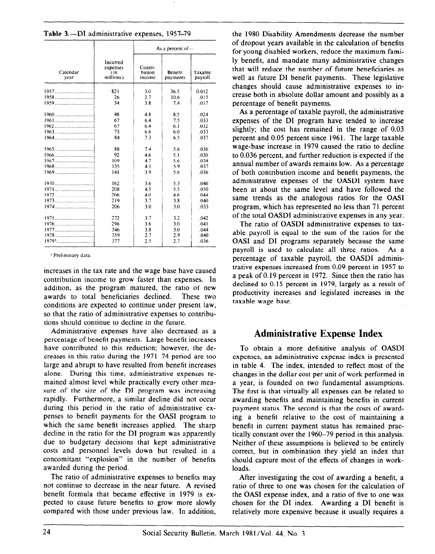Table 3.-DI administrative expenses, 1957-79

|                  |                                           |                             | As a percent of $-$ |                    |
|------------------|-------------------------------------------|-----------------------------|---------------------|--------------------|
| Calendar<br>year | Incurred<br>expenses<br>(in)<br>millions) | Contri-<br>bution<br>income | Benefit<br>payments | Taxable<br>payroll |
|                  | \$21                                      | 3.0                         | 36.5                | 0.012              |
| 1958             | 26                                        | 2.7                         | 10.6                | .015               |
|                  | 34                                        | 3.8                         | 7.4                 | .017               |
|                  | 48                                        | 4.8                         | 8.5                 | .024               |
|                  | 67                                        | 6.4                         | 7.5                 | .033               |
|                  | 67                                        | 6.4                         | 6.1                 | .032               |
|                  | 73                                        | 6.6                         | 6.0                 | .033               |
|                  | 84                                        | 7.3                         | 6.5                 | .037               |
|                  | 88                                        | 7.4                         | 5.6                 | .036               |
|                  | 92                                        | 4.6                         | 5.1                 | .030               |
|                  | 109                                       | 4.7                         | 5.6                 | .034               |
|                  | 135                                       | 4.1                         | 5.9                 | .037               |
|                  | 141                                       | 3.9                         | 5.6                 | .036               |
|                  | 162                                       | 3.6                         | 5.3                 | .040               |
|                  | 208                                       | 4.5                         | 5.5                 | .050               |
|                  | 206                                       | 4.0                         | 4.6                 | .044               |
|                  | 219                                       | 3.7                         | 3.8                 | .040               |
|                  | 206                                       | 3.0                         | 3.0                 | .033               |
|                  | 272                                       | 3.7                         | 3.2                 | .042               |
|                  | 296                                       | 3.6                         | 3.0                 | .041               |
|                  | 346                                       | 3.8                         | 3.0                 | .044               |
|                  | 359                                       | 2.7                         | 2.9                 | .040               |
|                  | 377                                       | 2.5                         | 2.7                 | .036               |

<sup>1</sup> Preliminary data.

increases in the tax rate and the wage base have caused contribution income to grow faster than expenses. In addition, as the program matured, the ratio of new awards to total beneficiaries declined. These two conditions are expected to continue under present law, so that the ratio of administrative expenses to contributions should continue to decline in the future.

Administrative expenses have also decreased as a percentage of benefit payments. Large benefit increases have contributed to this reduction; however, the decreases in this ratio during the 1971–74 period are too large and abrupt to have resulted from benefit increases alone. During this time, administrative expenses remained almost level while practically every other measure of the size of the DI program was increasing rapidly. Furthermore, a similar decline did not occur during this period in the ratio of administrative expenses to benefit payments for the OASI program to which the same benefit increases applied. The sharp decline in the ratio for the DI program was apparently due to budgetary decisions that kept administrative costs and personnel levels down but resulted in a concomitant "explosion" in the number of benefits awarded during the period.

The ratio of administrative expenses to benefits may not continue to decrease in the near future. A revised benefit formula that became effective in 1979 is expected to cause future benefits to grow more slowly compared with those under previous law. In addition, the 1980 Disability Amendments decrease the number of dropout years available in the calculation of benefits for young disabled workers, reduce the maximum family benefit, and mandate many administrative changes that will reduce the number of future beneficiaries as well as future DI benefit payments. These legislative changes should cause administrative expenses to increase both in absolute dollar amount and possibly as a percentage of benefit payments.

As a percentage of taxable payroll, the administrative expenses of the DI program have tended to increase slightly; the cost has remained in the range of 0.03 percent and 0.05 percent since 1961. The large taxable wage-base increase in 1979 caused the ratio to decline to 0.036 percent, and further reduction is expected if the annual number of awards remains low. As a percentage of both contribution income and benefit payments, the administrative expenses of the OASDI system have been at about the same level and have followed the same trends as the analogous ratios for the OASI program, which has represented no less than 71 percent of the total OASDI administrative expenses in any year.

The ratio of OASDI administrative expenses to taxable payroll is equal to the sum of the ratios for the OASI and DI programs separately because the same payroll is used to calculate all three ratios. As a percentage of taxable payroll, the OASDI administrative expenses increased from 0.09 percent in 1957 to a peak of 0.19 percent in 1972. Since then the ratio has declined to 0.15 percent in 1979, largely as a result of productivity increases and legislated increases in the taxable wage base.

#### **Administrative Expense Index**

To obtain a more definitive analysis of OASDI expenses, an administrative expense index is presented in table 4. The index, intended to reflect most of the changes in the dollar cost per unit of work performed in a year, is founded on two fundamental assumptions. The first is that virtually all expenses can be related to awarding benefits and maintaining benefits in current payment status. The second is that the costs of awarding a benefit relative to the cost of maintaining a benefit in current payment status has remained practically constant over the 1960–79 period in this analysis. Neither of these assumptions is believed to be entirely correct, but in combination they yield an index that should capture most of the effects of changes in workloads.

After investigating the cost of awarding a benefit, a ratio of three to one was chosen for the calculation of the OASI expense index, and a ratio of five to one was chosen for the DI index. Awarding a DI benefit is relatively more expensive because it usually requires a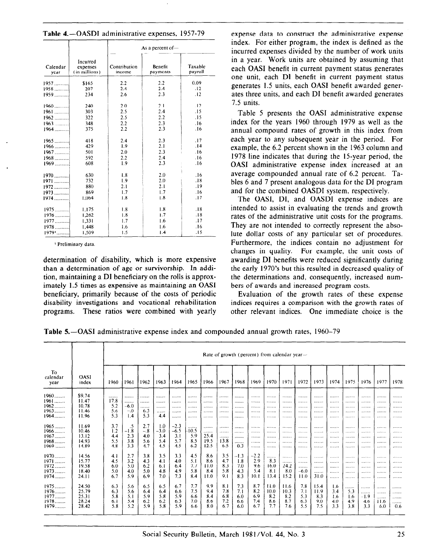Table 4.-OASDI administrative expenses, 1957-79

|                     |                                       |                        | As a percent of $-$ |                    |
|---------------------|---------------------------------------|------------------------|---------------------|--------------------|
| Calendar<br>year    | Incurred<br>expenses<br>(in millions) | Contribution<br>income | Benefit<br>payments | Taxable<br>payroll |
| $1957$              | \$165                                 | 2.2                    | 2.2                 | 0.09               |
| $1958$              | 207                                   | 2.4                    | 2.4                 | $\cdot$ 12         |
| $1959$              | 234                                   | 2.6                    | 2.3                 | .12                |
| $1960$              | 240                                   | 2.0                    | 2.1                 | $\overline{12}$    |
| $1961$              | 303                                   | 2.5                    | 2.4                 | .15                |
| $1962$              | 322                                   | 2.5                    | 2.2                 | .15                |
| $1963$              | 348                                   | 2.2                    | 2.3                 | .16                |
| $1964$              | 375                                   | 2.2                    | 2.3                 | .16                |
| $1965$              | 418                                   | 2.4                    | 2.3                 | .17                |
| $1966$              | 429                                   | 1.9                    | 2.1                 | .14                |
| $1967$              | 501                                   | 2.0                    | 2.3                 | .16                |
| $1968$              | 592                                   | 2.2                    | 2.4                 | .16                |
| $1969$              | 608                                   | 1.9                    | 2.3                 | .16                |
| $1970$              | 630                                   | 1.8                    | 2.0                 | .16                |
| $1971$              | 732                                   | 1.9                    | 2.0                 | .18                |
| $1972$              | 880                                   | 2.1                    | 2.1                 | .19                |
| $1973$              | 869                                   | 1.7                    | 1.7                 | .16                |
| $1974$              | 1.064                                 | 1.8                    | 1.8                 | .17                |
|                     |                                       |                        |                     |                    |
| $1975$              | 1.175                                 | 1.8                    | 1.8                 | .18                |
| $1976$              | 1,262                                 | 1.8                    | 1.7                 | .18                |
| $1977$              | 1,331                                 | 1.7                    | 1.6                 | .17                |
| $1978$              | 1.448                                 | 1.6                    | 1.6                 | .16                |
| $1979$ <sup>1</sup> | 1,509                                 | 1.5                    | 1.4                 | .15                |

<sup>1</sup> Preliminary data.

determination of disability, which is more expensive than a determination of age or survivorship. In addition, maintaining a DI beneficiary on the rolls is approximately 1.5 times as expensive as maintaining an OASI beneficiary, primarily because of the costs of periodic disability investigations and vocational rehabilitation programs. These ratios were combined with yearly expense data to construct the administrative expense index. For either program, the index is defined as the incurred expenses divided by the number of work units in a year. Work units are obtained by assuming that each OASI benefit in current payment status generates one unit, each DI benefit in current payment status generates 1.5 units, each OASI benefit awarded generates three units, and each DI benefit awarded generates 7.5 units.

Table 5 presents the OASI administrative expense index for the years 1960 through 1979 as well as the annual compound rates of growth in this index from each year to any subsequent year in the period. For example, the 6.2 percent shown in the 1963 column and 1978 line indicates that during the 15-year period, the OASI administrative expense index increased at an average compounded annual rate of 6.2 percent. Tables 6 and 7 present analogous data for the DI program and for the combined OASDI system, respectively.

The OASI, DI, and OASDI expense indices are intended to assist in evaluating the trends and growth rates of the administrative unit costs for the programs. They are not intended to correctly represent the absolute dollar costs of any particular set of procedures. Furthermore, the indices contain no adjustment for changes in quality. For example, the unit costs of awarding DI benefits were reduced significantly during the early 1970's but this resulted in decreased quality of the determinations and, consequently, increased numbers of awards and increased program costs.

Evaluation of the growth rates of these expense indices requires a comparison with the growth rates of other relevant indices. One immediate choice is the

Table 5.—OASI administrative expense index and compounded annual growth rates, 1960–79

|                                                                                                      |                                                                                                 | Rate of growth (percent) from calendar year-                              |                                                                           |                                                                                  |                                                                           |                                                                           |                                                                           |                                                                              |                                                                           |                                                                                     |                                                                                |                                                                             |                                                                          |                                                                       |                                                                   |                                                             |                                                           |                                                           |                                                     |                                                     |
|------------------------------------------------------------------------------------------------------|-------------------------------------------------------------------------------------------------|---------------------------------------------------------------------------|---------------------------------------------------------------------------|----------------------------------------------------------------------------------|---------------------------------------------------------------------------|---------------------------------------------------------------------------|---------------------------------------------------------------------------|------------------------------------------------------------------------------|---------------------------------------------------------------------------|-------------------------------------------------------------------------------------|--------------------------------------------------------------------------------|-----------------------------------------------------------------------------|--------------------------------------------------------------------------|-----------------------------------------------------------------------|-------------------------------------------------------------------|-------------------------------------------------------------|-----------------------------------------------------------|-----------------------------------------------------------|-----------------------------------------------------|-----------------------------------------------------|
| To<br>calendar<br>year                                                                               | <b>OASI</b><br>index                                                                            | 1960                                                                      | 1961                                                                      | 1962                                                                             | 1963                                                                      | 1964                                                                      | 1965                                                                      | 1966                                                                         | 1967                                                                      | 1968                                                                                | 1969                                                                           | 1970                                                                        | 1971                                                                     | 1972                                                                  | 1973                                                              | 1974                                                        | 1975                                                      | 1976                                                      | 1977                                                | 1978                                                |
| $1960$<br>$1961$<br>$1962$<br>$1963$<br>$1964$<br>$1965$<br>$1966$<br>$1967$<br>$1968$               | \$9.74<br>11.47<br>10.78<br>11.46<br>11.96<br>11.69<br>10.46<br>13.12<br>14.93                  | <br>17.8<br>5.2<br>5.6<br>5.3<br>3.7<br>1.2<br>4,4<br>5.5                 | <br><br>$-6.0$<br>$-.0$<br>1.4<br>.5<br>$-1.8$<br>2.3<br>3.8              | <br><br><br>6.3<br>5.3<br>2.7<br>$-.8$<br>4.0                                    | <br><br><br><br>4.4<br>1.0<br>$-3.0$<br>3,4<br>5.4                        | <br><br><br><br><br>$-2.3$<br>$-6.5$<br>3.1<br>5.7                        | <br><br><br>.<br><br><br>-10.5<br>5.9<br>8.5                              | <br><br><br><br><br><br><br>25.4<br>19.5                                     | <br><br><br><br><br><br><br>.<br>13.8                                     | <br><br><br><br><br><br>.<br>                                                       | <br><br><br><br><br><br><br>                                                   | <br><br><br>.<br><br><br>.<br>                                              | <br><br><br><br><br><br><br>                                             | <br><br><br><br><br><br><br>                                          | <br><br><br><br><br><br><br>                                      | 1.1.1.1.1.1<br><br><br><br><br><br><br>                     | <br><br><br><br><br><br><br>                              | <br><br><br><br><br><br><br>                              | <br><br><br><br><br><br><br>                        | <br><br><br><br><br>.<br><br>                       |
| 1969<br>$1970$<br>$1971$<br>1972<br>$1973$<br>$1974$<br>$1975$<br>$1976$<br>1977<br>$1978$<br>$1979$ | 14.89<br>14.56<br>15.77<br>19.58<br>18.40<br>24.11<br>24.50<br>25.79<br>25.31<br>28.24<br>28.42 | 4.8<br>4.1<br>4.5<br>6.0<br>5.0<br>6,7<br>6.3<br>6.3<br>5.8<br>6.1<br>5.8 | 3.3<br>2.7<br>3.2<br>5.0<br>4.0<br>5.9<br>5.6<br>5.6<br>5.1<br>5.4<br>5.2 | 5.6<br>4.7<br>3.8<br>4.3<br>6.2<br>5.0<br>6.9<br>6.5<br>6.4<br>5.9<br>6.2<br>5.9 | 4.5<br>3.5<br>4.1<br>6.1<br>4.8<br>7.0<br>6.5<br>6.4<br>5.8<br>6.2<br>5.8 | 4.5<br>3.3<br>4.0<br>6,4<br>4.9<br>7.3<br>6.7<br>6.6<br>5.9<br>6.3<br>5.9 | 6.2<br>4.5<br>5.1<br>7.7<br>5.8<br>8.4<br>7.7<br>7.5<br>6.6<br>7.0<br>6.6 | 12.5<br>8.6<br>8.6<br>11.0<br>8.4<br>11.0<br>9.9<br>9.4<br>8.4<br>8.6<br>8.0 | 6.5<br>3.5<br>4.7<br>8.3<br>5.8<br>9.1<br>8.1<br>7.8<br>6.8<br>7.2<br>6.7 | <br>$-0.3$<br>$-1.3$<br>1.8<br>7.0<br>4.3<br>8.3<br>7.3<br>7.1<br>6.0<br>6.6<br>6.0 | <br><br>$-2.2$<br>2.9<br>9.6<br>5.4<br>10.1<br>8.7<br>8.2<br>6.9<br>7.4<br>6.7 | <br><br><br>8.3<br>16.0<br>8.1<br>13.4<br>11.0<br>10.0<br>8.2<br>8.6<br>7.7 | <br><br><br><br>24.2<br>8.0<br>15.2<br>11.6<br>10.3<br>8.2<br>8.7<br>7.6 | <br><br><br><br><br>$-6.0$<br>11.0<br>7.8<br>7.1<br>5.3<br>6.3<br>5.5 | <br><br><br><br><br><br>31.0<br>15.4<br>11.9<br>8.3<br>9.0<br>7.5 | <br><br><br><br><br><br><br>1.6<br>3.4<br>1.6<br>4.0<br>3.3 | <br><br><br><br><br><br><br>.<br>5.3<br>1.6<br>4.9<br>3.8 | <br><br><br><br><br><br><br>.<br><br>$-1.9$<br>4.6<br>3.3 | <br><br><br><br><br><br><br><br><br><br>11.6<br>6.0 | <br><br><br><br><br>.<br>.<br>.<br><br><br>.<br>0.6 |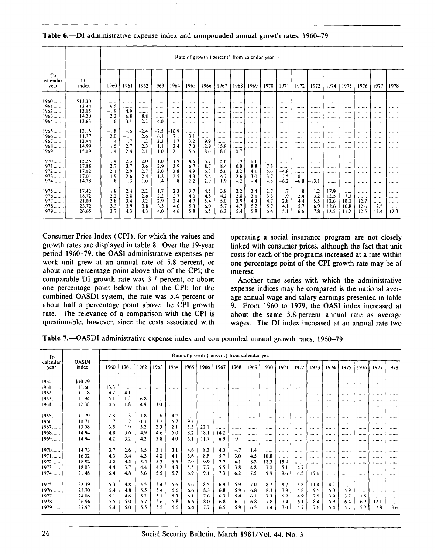|                        |             | Rate of growth (percent) from calendar year- |         |        |         |                   |        |      |      |             |       |       |        |        |                 |      |             |               |      |                            |
|------------------------|-------------|----------------------------------------------|---------|--------|---------|-------------------|--------|------|------|-------------|-------|-------|--------|--------|-----------------|------|-------------|---------------|------|----------------------------|
| To<br>calendar<br>year | DI<br>index | 1960                                         | 1961    | 1962   | 1963    | 1964              | 1965   | 1966 | 1967 | 1968        | 1969  | 1970  | 1971   | 1972   | 1973            | 1974 | 1975        | 1976          | 1977 | 1978                       |
| $1960$                 | \$13.30     |                                              |         |        |         |                   |        |      |      | 1.1.1.1.1.1 |       |       |        | .      |                 |      |             |               |      |                            |
| $1961$                 | 12.44       | $-6.5$                                       |         |        |         |                   |        |      |      |             |       |       |        |        |                 |      |             |               |      |                            |
| $1962$                 | 13.05       | $-1.9$                                       | 49      |        |         |                   |        |      |      |             |       |       |        |        |                 |      |             |               |      |                            |
| $1963$                 | 14.20       | 2.2                                          | 6.8     | 8.8    |         |                   |        |      |      | <b>A </b>   |       |       |        |        |                 |      |             |               |      |                            |
| $1964$                 | 13.63       | .6                                           | 3.1     | 2.2    | $-4.0$  |                   |        |      |      |             |       |       |        |        |                 |      |             |               |      |                            |
| $1965$                 | 12.15       | $-1.8$                                       | $-.6$   | $-2.4$ | $-7.5$  | $-10.9$           |        |      |      |             |       |       |        |        |                 |      |             |               |      |                            |
| $1966$                 | 11.77       | $-2.0$                                       | $-1.1$  | $-2.6$ | $-6.1$  | $-7.1$            | $-3.1$ |      |      |             |       |       |        |        |                 |      |             |               |      |                            |
| $1967$                 | 12.94       | $-.4$                                        | $\cdot$ | $-.2$  | $-2.3$  | $-1.7$            | 3.2    | 99   |      |             |       |       |        |        |                 |      |             |               |      |                            |
| 1968                   | 14.99       | 1.5                                          | 2.7     | 2.3    | 1.1     | 2.4               | 7.3    | 12.9 | 15.8 |             |       |       |        |        |                 |      |             |               |      |                            |
| $1969$                 | 15.09       | 1.4                                          | 2.4     | 2.1    | 1.0     | 2.1               | 5.6    | 8.6  | 8.0  | 0.7         |       |       |        |        |                 |      |             |               |      |                            |
| $1970$                 | 15.25       | 1.4                                          | 2.3     | 2.0    | 1.0     | 1.9               | 4.6    | 6.7  | 5.6  | .9          | 1.1   |       |        |        |                 |      |             |               |      |                            |
| $1971$                 | 17.88       | 2.7                                          | 3.7     | 3.6    | 2.9     | 3.9               | 6.7    | 8.7  | 8.4  | 6.0         | 8.8   | 17.3  |        |        | 1.1.1.1.1.1     |      |             |               |      |                            |
| 1972                   | 17.02       | 2.1                                          | 2.9     | 2.7    | 2.0     | 2.8               | 4.9    | 6.3  | 5.6  | 3.2         | 41    | 5.6   | $-4.8$ |        |                 |      |             |               |      |                            |
| 1973                   | 17.01       | 1.9                                          | 2.6     | 2.4    | 1.8     | 2.5               | 4.3    | 5.4  | 4.7  | 2.6         | 3.0   | 3.7   | $-2.5$ | $-0.1$ | <b>ALCOHOL:</b> | .    | 1.1.1.1.1.1 | <b>******</b> |      | <b><i><u>PARKS</u></i></b> |
| 1974                   | 14.78       | .8                                           | 1.3     | 1.0    | $\cdot$ | $\boldsymbol{.8}$ | 2.2    | 2.9  | 1.9  | $-2$        | $-.4$ | $-.8$ | $-6.2$ | $-6.8$ | -13.1           |      |             |               |      |                            |
| 1975                   | 17.42       | 1.8                                          | 2.4     | 2.2    | 1.7     | 2.3               | 3.7    | 4.5  | 3.8  | 2.2         | 2.4   | 2.7   | $-.7$  | .8     | 1.2             | 17.9 |             |               |      | 1.1.1.1.1.1                |
| $1976$                 | 18.72       | 2.2                                          | 2.8     | 2.6    | 2.2     | 2.7               | 4.0    | 4.8  | 4.2  | 2.8         | 3.1   | 3.5   | .9     | 2.4    | 3.2             | 12.5 | 7.5         |               |      | *******                    |
| $1977$                 | 21.09       | 2.8                                          | 3.4     | 3.2    | 2.9     | 3.4               | 4.7    | 5.4  | 5.0  | 3.9         | 43    | 4.7   | 2.8    | 4.4    | 5.5             | 12.6 | 10.0        | 12.7          |      |                            |
| 1978                   | 23.72       | 3.3                                          | 3.9     | 3.8    | 3.5     | 4.0               | 5.3    | 6.0  | 5.7  | 4.7         | 5.2   | 5.7   | 4.1    | 5.7    | 6.9             | 12.6 | 10.8        | 12.6          | 12.5 |                            |
| $1979$                 | 26.65       | 3.7                                          | 4.3     | 4.3    | 4.0     | 4.6               | 5.8    | 6.5  | 6.2  | 5.4         | 5.8   | 6.4   | 5.1    | 6.6    | 7.8             | 12.5 | 11.2        | 12.5          | 12.4 | 12.3                       |

Table 6.-DI administrative expense index and compounded annual growth rates, 1960-79

Consumer Price Index (CPI), for which the values and growth rates are displayed in table 8. Over the 19-year period 1960-79, the OASI administrative expenses per work unit grew at an annual rate of 5.8 percent, or about one percentage point above that of the CPI; the comparable DI growth rate was 3.7 percent, or about one percentage point below that of the CPI; for the combined OASDI system, the rate was 5.4 percent or about half a percentage point above the CPI growth rate. The relevance of a comparison with the CPI is questionable, however, since the costs associated with

 $\top$ 

operating a social insurance program are not closely linked with consumer prices, although the fact that unit costs for each of the programs increased at a rate within one percentage point of the CPI growth rate may be of interest.

Another time series with which the administrative expense indices may be compared is the national average annual wage and salary earnings presented in table 9. From 1960 to 1979, the OASI index increased at about the same 5.8-percent annual rate as average wages. The DI index increased at an annual rate two

Table 7.-OASDI administrative expense index and compounded annual growth rates, 1960-79

| To               |                       |         |           |      |        |        |        | Rate of growth (percent) from calendar year- |      |          |        |      |      |        |      |         |      |           |      |      |
|------------------|-----------------------|---------|-----------|------|--------|--------|--------|----------------------------------------------|------|----------|--------|------|------|--------|------|---------|------|-----------|------|------|
| calendar<br>year | <b>OASDI</b><br>index | 1960    | 1961      | 1962 | 1963   | 1964   | 1965   | 1966                                         | 1967 | 1968     | 1969   | 1970 | 1971 | 1972   | 1973 | 1974    | 1975 | 1976      | 1977 | 1978 |
| $1960$           | \$10.29               |         |           |      |        |        |        |                                              |      |          |        |      |      |        |      |         |      |           |      |      |
| 1961             | 11.66                 | 13.3    |           |      |        |        |        |                                              |      |          |        |      |      |        |      |         |      |           |      |      |
| 1962.<br>.       | 11.18                 | 4.2     | $-4.1$    |      |        |        |        |                                              |      |          |        |      |      |        |      |         |      |           |      |      |
| $1963$           | 11.94                 | 5.1     | 1.2       | 6.8  | .      |        |        |                                              |      |          |        |      |      |        |      |         |      |           |      |      |
| $1964$           | 12.30                 | 4.6     | 1.8       | 4.9  | 3.0    |        |        |                                              |      |          |        |      |      |        |      |         |      |           |      |      |
| $1965$           | 11.79                 | 2.8     | $\cdot$ 3 | 1.8  | $-6$   | $-4.2$ |        |                                              |      |          |        |      |      |        |      |         |      |           |      |      |
| $1966$           | 10.71                 | $\cdot$ | $-1.7$    | -1.1 | $-3.7$ | $-6.7$ | $-9.2$ |                                              |      |          |        |      |      |        |      |         |      |           |      |      |
| 1967             | 13.08                 | 3.5     | 1.9       | 3.2  | 2.3    | 2.1    | 5.3    | 22.1                                         |      |          |        |      |      |        |      |         |      | 1.1.1.1.1 |      |      |
| 1968             | 14.94                 | 4.8     | 3.6       | 4.9  | 4.6    | 5.0    | 8.2    | 18.1                                         | 14.2 |          |        |      |      |        |      | <b></b> |      |           |      |      |
| 1969             | 14.94                 | 4.2     | 3.2       | 4.2  | 3.8    | 4.0    | 6.1    | 11.7                                         | 6.9  | $\theta$ |        |      |      |        |      |         |      |           |      |      |
| $1970$           | 14.73                 | 3.7     | 2.6       | 3.5  | 3.1    | 3.1    | 4.6    | 8.3                                          | 4.0  | $-.7$    | $-1.4$ |      |      |        |      |         |      |           |      |      |
| 1971             | 16.32                 | 4.3     | 3.4       | 4.3  | 4.0    | 4.1    | 5.6    | 8.8                                          | 5.7  | 3.0      | 4.5    | 10.8 |      |        |      |         |      |           |      |      |
| $1972$           | 18.92                 | 5.2     | 4.5       | 5.4  | 5.3    | 5.5    | 7.0    | 9.9                                          | 7.7  | 6.1      | 8.2    | 13.3 | 15.9 |        |      |         |      |           |      |      |
| $1973$           | 18.03                 | 4.4     | 3.7       | 4.4  | 4.2    | 4.3    | 5.5    | 7.7                                          | 5.5  | 3.8      | 4.8    | 7.0  | 5.1  | $-4.7$ | .    |         |      |           |      |      |
| 1974             | 21.48                 | 5.4     | 4.8       | 5.6  | 5.5    | 5.7    | 6.9    | 9.1                                          | 7.3  | 6.2      | 7.5    | 9.9  | 9.6  | 6.5    | 19.1 |         |      |           |      |      |
| 1975             | 22.39                 | 5.3     | 4.8       | 5.5  | 5.4    | 5.6    | 6.6    | 8.5                                          | 6.9  | 5.9      | 7.0    | 8.7  | 8.2  | 5.8    | 11.4 | 4.2     |      |           |      |      |
| $1976$           | 23.70                 | 5.4     | 4.8       | 5.5  | 5.4    | 5.6    | 6.6    | 8.3                                          | 6.8  | 5.9      | 6.8    | 8.3  | 7.8  | 5.8    | 9.5  | 5.0     | 5.9  |           |      |      |
| $1977$           | 24.06                 | 5.1     | 4.6       | 5.2  | 5.1    | 5.3    | 6.1    | 7.6                                          | 6.3  | 5.4      | 6.1    | 7.3  | 6.7  | 4.9    | 7.5  | 3.9     | 3.7  | 1.5       |      |      |
| 1978             | 26.96                 | 5.5     | 5.0       | 5.7  | 5.6    | 5.8    | 6.6    | 8.0                                          | 6.8  | 6.1      | 6.8    | 7.8  | 7.4  | 6.1    | 8.4  | 5.9     | 6.4  | 67        | 12.1 |      |
| 1979             | 27.97                 | 5.4     | 5.0       | 5.5  | 5.5    | 5.6    | 6.4    | 7.7                                          | 6.5  | 5.9      | 6.5    | 7.4  | 7.0  | 5.7    | 7.6  | 5.4     | 5.7  | 5.7       | 7.8  | 36   |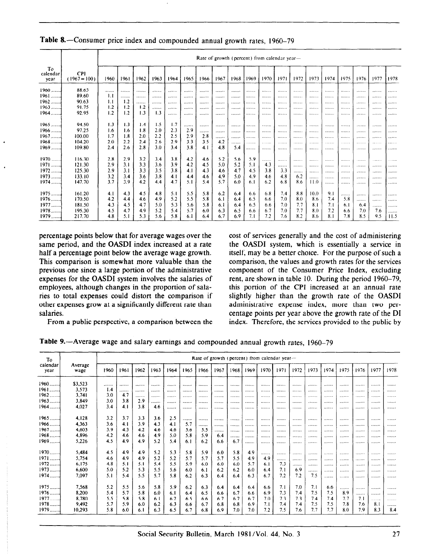|                        |                              |      | Rate of growth (percent) from calendar year- |      |      |      |      |      |      |      |            |      |      |      |      |      |      |      |      |              |
|------------------------|------------------------------|------|----------------------------------------------|------|------|------|------|------|------|------|------------|------|------|------|------|------|------|------|------|--------------|
| To<br>calendar<br>vear | <b>CPI</b><br>$(1967 = 100)$ | 1960 | 1961                                         | 1962 | 1963 | 1964 | 1965 | 1966 | 1967 | 1968 | 1969       | 1970 | 1971 | 1972 | 1973 | 1974 | 1975 | 1976 | 1977 | 1978         |
| $1960$                 | 88.65                        |      |                                              |      |      |      |      |      |      |      |            |      | .    | .    |      | .    |      |      |      |              |
| $1961$                 | 89.60                        | 1.1  |                                              |      |      |      |      |      |      |      |            |      |      |      |      |      |      |      |      | .            |
| $1962$                 | 90.63                        | 1.1  | 1.2                                          | .    |      |      |      |      |      |      | .          |      |      |      |      |      | .    |      |      |              |
| $1963$                 | 91.75                        | 1.2  | 1.2                                          | 1.2  |      |      |      |      |      |      |            |      |      |      |      |      |      |      |      |              |
| $1964$                 | 92.95                        | 1.2  | 1.2                                          | 1.3  | 1.3  |      |      |      |      |      | .          |      |      |      |      |      |      |      |      |              |
|                        |                              |      |                                              |      |      |      |      |      |      |      |            |      |      |      |      |      |      |      |      |              |
| $1965$                 | 94.50                        | 1.3  | 1.3                                          | 1.4  | 1.5  | 1.7  |      |      |      |      |            |      |      |      |      |      |      |      |      |              |
| $1966$                 | 97.25                        | 1.6  | 1.6                                          | 1.8  | 2.0  | 2.3  | 2.9  |      |      |      |            |      |      |      |      |      |      |      |      |              |
| $1967$                 | 100.00                       | 1.7  | 1.8                                          | 2.0  | 2.2  | 2.5  | 2.9  | 2.8  |      |      | .          |      |      |      |      |      |      |      |      | .            |
| $1968$                 | 104.20                       | 2.0  | 2.2                                          | 2.4  | 2.6  | 2.9  | 3.3  | 3.5  | 4.2  | .    | . <b>.</b> | .    | .    | .    |      | .    | .    |      |      | .            |
| $1969$                 | 109.80                       | 2.4  | 2.6                                          | 2.8  | 3.0  | 3.4  | 3.8  | 4.1  | 4.8  | 5.4  | .          |      |      |      |      |      |      |      | .    | .            |
|                        |                              |      |                                              |      |      |      |      |      |      |      |            |      |      |      |      |      |      |      |      |              |
| $1970$                 | 116.30                       | 2.8  | 2.9                                          | 3.2  | 3.4  | 3.8  | 4.2  | 4.6  | 5.2  | 5.6  | 5.9        |      |      |      |      |      |      |      |      | .            |
| 1971                   | 121.30                       | 2.9  | 3.1                                          | 3.3  | 3.6  | 3.9  | 4.2  | 4.5  | 5.0  | 5.2  | 5.1        | 4.3  |      |      |      |      |      | .    |      | .            |
| $1972$                 | 125.30                       | 2.9  | 3.1                                          | 3.3  | 3.5  | 3.8  | 4.1  | 4.3  | 4.6  | 4.7  | 4.5        | 3.8  | 3.3  |      |      |      |      |      |      |              |
| $1973$                 | 133.10                       | 3.2  | 3.4                                          | 36   | 3.8  | 4.1  | 4.4  | 4.6  | 4.9  | 5.0  | 4.9        | 4.6  | 4.8  | 6.2  |      |      |      |      |      | . <b>.</b> . |
| 1974                   | 147.70                       | 3.7  | 3.9                                          | 4.2  | 4.4  | 4.7  | 5.1  | 5.4  | 5.7  | 6.0  | 6.1        | 6.2  | 6.8  | 8.6  | 11.0 |      |      |      |      | .            |
|                        |                              |      |                                              |      |      |      |      |      |      |      |            |      |      |      |      |      |      |      |      |              |
| $1975$                 | 161.20                       | 4.1  | 4.3                                          | 4.5  | 4.8  | 5.1  | 5.5  | 5.8  | 6.2  | 6,4  | 6.6        | 6.8  | 7.4  | 8.8  | 10.0 | 9.1  | .    |      |      |              |
| $1976$                 | 170.50                       | 4.2  | 4.4                                          | 4.6  | 4.9  | 5.2  | 5.5  | 5.8  | 6.1  | 6.4  | 6.5        | 6.6  | 7.0  | 8.0  | 8.6  | 7.4  | 5.8  | .    |      | .            |
| 1977                   | 181.50                       | 4.3  | 4.5                                          | 4.7  | 5.0  | 5.3  | 5.6  | 5.8  | 6.1  | 6.4  | 6.5        | 6.6  | 7.0  | 7.7  | 8.1  | 7.1  | 6.1  | 6.4  |      | .            |
| 1978                   | 195.30                       | 4.5  | 4.7                                          | 4.9  | 5.2  | 5.4  | 5.7  | 6.0  | 6.3  | 6.5  | 6.6        | 6,7  | 7.0  | 7.7  | 8.0  | 7.2  | 6.6  | 7.0  | 7.6  |              |
| 1979                   | 217.70                       | 4.8  | 5.1                                          | 5.3  | 5.6  | 5.8  | 6.1  | 6.4  | 6.7  | 6.9  | 7.1        | 7.2  | 7.6  | 8.2  | 8.6  | 8.1  | 7.8  | 8.5  | 9.5  | 11.5         |

#### Table &-Consumer price index and compounded annual growth rates, 1960-79

percentage points below that for average wages over the same period, and the OASDI index increased at a rate half a percentage point below the average wage growth. This comparison is somewhat more valuable than the previous one since a large portion of the administrative expenses for the OASDI system involves the salaries of employees, although changes in the proportion of salaries to total expenses could distort the comparison if other expenses grow at a significantly different rate than salaries.

cost of services generally and the cost of administering the OASDI system, which is essentially a service in itself, may be a better choice. For the purpose of such a comparison, the values and growth rates for the services component of the Consumer Price Index, excluding rent, are shown in table 10. During the period 1960-79, this portion of the CPI increased at an annual rate slightly higher than the growth rate of the OASDI administrative expense index, more than two percentage points per year above the growth rate of the DI index. Therefore, the services provided to the public by

From a public perspective, a comparison between the

| Table 9.—Average wage and salary earnings and compounded annual growth rates, 1960–79 |  |  |  |  |  |  |
|---------------------------------------------------------------------------------------|--|--|--|--|--|--|
|---------------------------------------------------------------------------------------|--|--|--|--|--|--|

| To               |                 |      |      |      |      |      |      |      |      |      |      |      | Rate of growth (percent) from calendar year $-$ |           |      |      |      |          |         |           |
|------------------|-----------------|------|------|------|------|------|------|------|------|------|------|------|-------------------------------------------------|-----------|------|------|------|----------|---------|-----------|
| calendar<br>vear | Average<br>wage | 1960 | 1961 | 1962 | 1963 | 1964 | 1965 | 1966 | 1967 | 1968 | 1969 | 1970 | 1971                                            | 1972      | 1973 | 1974 | 1975 | 1976     | 1977    | 1978      |
| 1960             | \$3,523         |      |      |      |      |      |      |      |      |      |      |      |                                                 |           |      |      |      |          |         |           |
| $1961$           | 3,573           | 1.4  | .    | .    |      |      |      |      |      |      |      |      | <b></b>                                         |           | .    |      |      |          |         |           |
| $1962$           | 3,741           | 3.0  | 4.7  | .    |      |      |      |      |      |      |      |      |                                                 |           |      |      |      |          |         |           |
| 1963             | 3,849           | 3.0  | 3.8  | 2.9  |      |      |      |      |      |      |      |      |                                                 |           | .    |      |      |          |         | 1.1.1.1.1 |
| 1964             | 4,027           | 3.4  | 4.1  | 3.8  | 4.6  |      |      |      |      |      |      |      |                                                 |           |      |      |      |          |         |           |
| $1965$           | 4,128           | 3.2  | 3.7  | 3.3  | 3.6  | 2.5  | .    |      |      |      |      |      |                                                 |           |      |      |      |          |         |           |
| $1966$           | 4,363           | 3.6  | 4.1  | 3.9  | 4.3  | 4.1  | 5.7  |      |      |      |      |      |                                                 |           |      |      |      |          | ******* |           |
| $1967$           | 4,603           | 3.9  | 4.3  | 4.2  | 4.6  | 4.6  | 56   | 5.5  |      |      |      |      |                                                 | 1.1.1.1.1 |      |      |      |          |         |           |
| $1968$           | 4,896           | 42   | 4.6  | 4.6  | 4.9  | 5.0  | 5.8  | 5.9  | 6.4  |      |      |      |                                                 |           |      |      |      |          |         |           |
| $1969$           | 5.226           | 4.5  | 4.9  | 4.9  | 52   | 5.4  | 6.1  | 6.2  | 6.6  | 67   |      |      |                                                 |           |      |      |      |          |         |           |
| 1970             | 5,484           | 4.5  | 4.9  | 4.9  | 5.2  | 5.3  | 5.8  | 5.9  | 6.0  | 5.8  | 4.9  |      |                                                 |           |      |      |      |          |         |           |
| $1971$           | 5,754           | 4.6  | 4.9  | 4.9  | 5.2  | 5.2  | 5.7  | 5.7  | 5.7  | 5.5  | 4.9  | 4.9  |                                                 |           |      |      |      |          |         |           |
| $1972$           | 6,175           | 4.8  | 5.1  | 5.1  | 5.4  | 5.5  | 5.9  | 6.0  | 6.0  | 6.0  | 5.7  | 6.1  | 7.3                                             | .         |      |      |      |          |         |           |
| $1973$           | 6,600           | 5.0  | 5.2  | 5.3  | 5.5  | 5.6  | 60   | 6.1  | 6.2  | 6.2  | 6.0  | 6.4  | 7.1                                             | 6.9       | .    |      |      |          |         |           |
| 1974             | 7,097           | 5.1  | 5.4  | 5.5  | 5.7  | 5.8  | 6.2  | 6.3  | 6.4  | 6.4  | 6.3  | 6.7  | 7.2                                             | 7.2       | 7.5  |      |      |          |         |           |
| $1975$           | 7,568           | 5.2  | 5.5  | 5.6  | 5.8  | 5.9  | 6.2  | 6.3  | 6.4  | 6.4  | 6.4  | 6.6  | 7.1                                             | 7.0       | 7.1  | 6.6  |      |          |         |           |
| $1976$           | 8,200           | 5.4  | 5.7  | 5.8  | 6.0  | 6.1  | 6,4  | 6.5  | 6.6  | 6.7  | 6.6  | 6.9  | 7.3                                             | 7.4       | 7.5  | 7.5  | 8.9  |          |         |           |
| $1977$           | 8,780           | 5.5  | 5.8  | 5.8  | 6.1  | 6.2  | 6.5  | 6.6  | 6.7  | 6.7  | 6.7  | 7.0  | 7.3                                             | 7.3       | 7.4  | 7.4  | 7.7  | .<br>7.1 | .       |           |
| $1978$           | 9,492           | 5.7  | 5.9  | 6.0  | 6.2  | 6.3  | 6.6  | 6.7  | 6.8  | 6.8  | 6.9  | 7.1  | 7.4                                             | 7.4       | 7.5  | 7.5  | 7.8  | 7.6      | <br>8.1 |           |
| $1979$           | 10,293          | 5.8  | 6.0  | 6. I | 6.3  | 6.5  | 6.7  | 6,8  | 6.9  | 7.0  | 7.0  | 7.2  | 7.5                                             | 7.6       | 7.7  | 7.7  | 8.0  | 7.9      | 8.3     | <br>8.4   |
|                  |                 |      |      |      |      |      |      |      |      |      |      |      |                                                 |           |      |      |      |          |         |           |